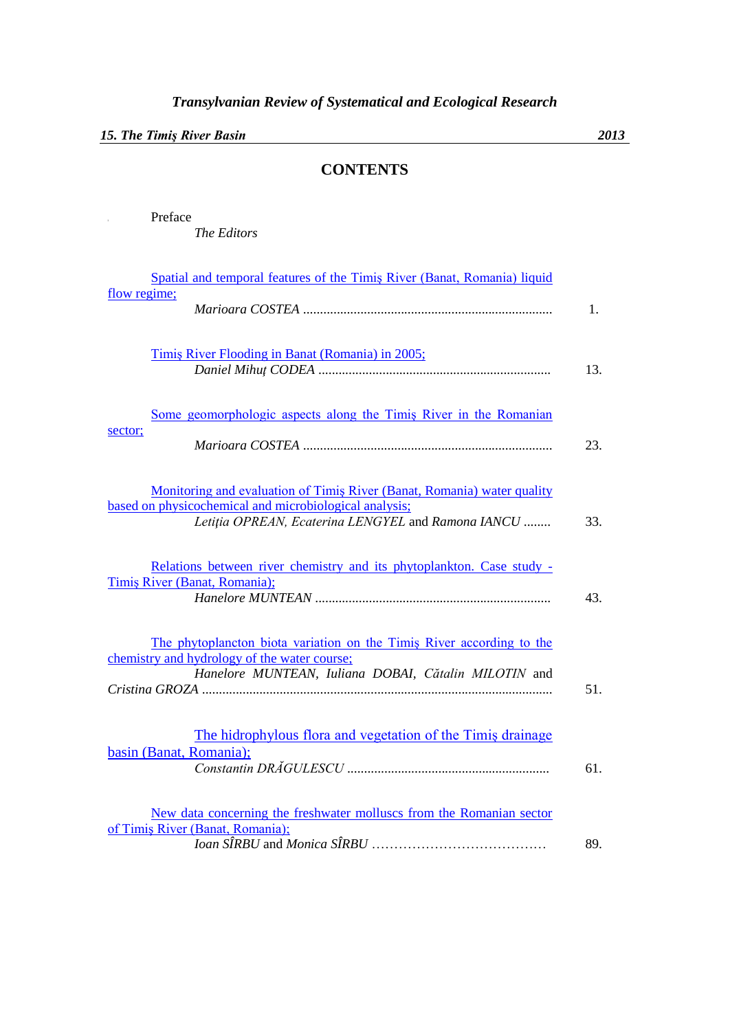## *15. The Timiş River Basin 2013*

*The Editors*

**I** Preface

## **CONTENTS**

| flow regime; | Spatial and temporal features of the Timiş River (Banat, Romania) liquid                                                                                                                |     |
|--------------|-----------------------------------------------------------------------------------------------------------------------------------------------------------------------------------------|-----|
|              |                                                                                                                                                                                         |     |
|              | Timis River Flooding in Banat (Romania) in 2005;                                                                                                                                        | 13. |
|              | Some geomorphologic aspects along the Timis River in the Romanian                                                                                                                       |     |
| sector;      |                                                                                                                                                                                         | 23. |
|              | Monitoring and evaluation of Timiş River (Banat, Romania) water quality<br>based on physicochemical and microbiological analysis;<br>Letiția OPREAN, Ecaterina LENGYEL and Ramona IANCU | 33. |
|              | Relations between river chemistry and its phytoplankton. Case study -<br>Timis River (Banat, Romania);                                                                                  | 43. |
|              | The phytoplancton biota variation on the Timis River according to the<br>chemistry and hydrology of the water course;<br>Hanelore MUNTEAN, Iuliana DOBAI, Cătalin MILOTIN and           |     |
|              | The hidrophylous flora and vegetation of the Timis drainage<br>basin (Banat, Romania);                                                                                                  | 61. |
|              | New data concerning the freshwater molluscs from the Romanian sector<br>of Timiş River (Banat, Romania);                                                                                | 89. |